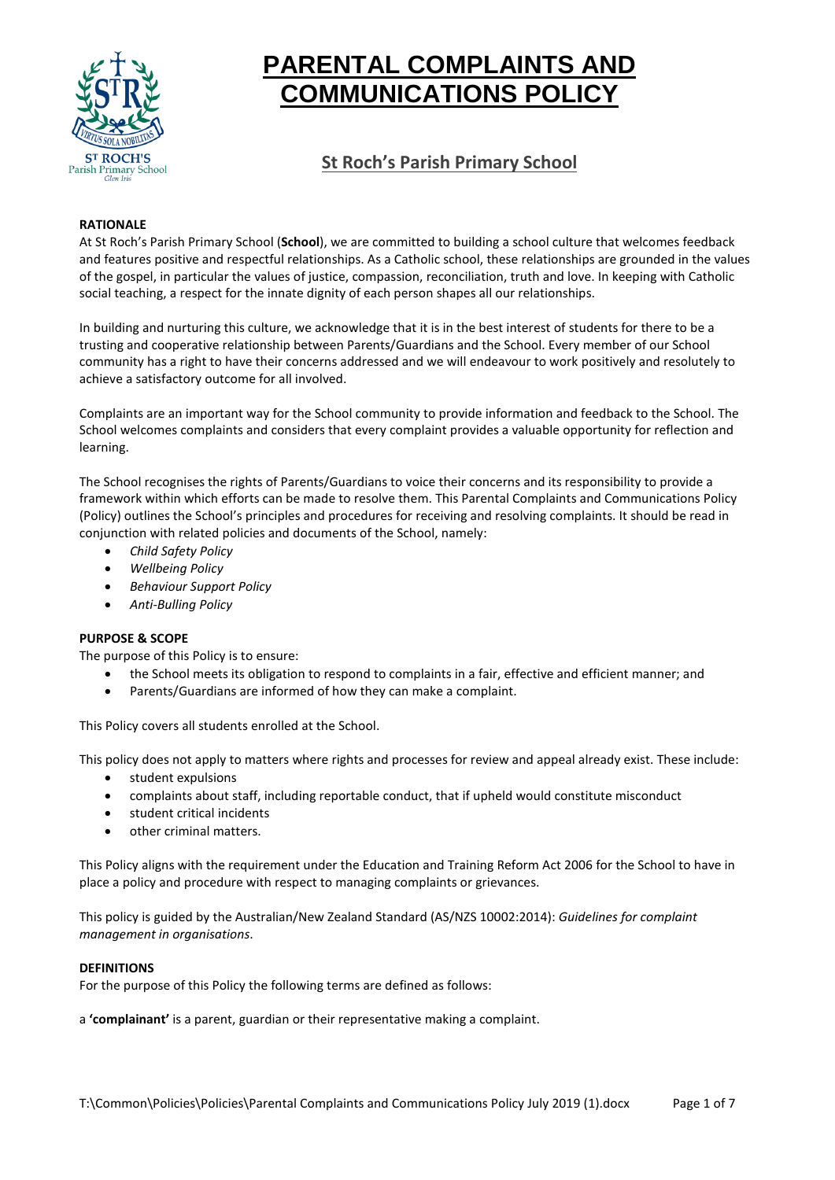

# **PARENTAL COMPLAINTS AND COMMUNICATIONS POLICY**

# **St Roch's Parish Primary School**

# **RATIONALE**

At St Roch's Parish Primary School (**School**), we are committed to building a school culture that welcomes feedback and features positive and respectful relationships. As a Catholic school, these relationships are grounded in the values of the gospel, in particular the values of justice, compassion, reconciliation, truth and love. In keeping with Catholic social teaching, a respect for the innate dignity of each person shapes all our relationships.

In building and nurturing this culture, we acknowledge that it is in the best interest of students for there to be a trusting and cooperative relationship between Parents/Guardians and the School. Every member of our School community has a right to have their concerns addressed and we will endeavour to work positively and resolutely to achieve a satisfactory outcome for all involved.

Complaints are an important way for the School community to provide information and feedback to the School. The School welcomes complaints and considers that every complaint provides a valuable opportunity for reflection and learning.

The School recognises the rights of Parents/Guardians to voice their concerns and its responsibility to provide a framework within which efforts can be made to resolve them. This Parental Complaints and Communications Policy (Policy) outlines the School's principles and procedures for receiving and resolving complaints. It should be read in conjunction with related policies and documents of the School, namely:

- *Child Safety Policy*
- *Wellbeing Policy*
- *Behaviour Support Policy*
- *Anti-Bulling Policy*

# **PURPOSE & SCOPE**

The purpose of this Policy is to ensure:

- the School meets its obligation to respond to complaints in a fair, effective and efficient manner; and
- Parents/Guardians are informed of how they can make a complaint.

This Policy covers all students enrolled at the School.

This policy does not apply to matters where rights and processes for review and appeal already exist. These include:

- student expulsions
- complaints about staff, including reportable conduct, that if upheld would constitute misconduct
- student critical incidents
- other criminal matters.

This Policy aligns with the requirement under the Education and Training Reform Act 2006 for the School to have in place a policy and procedure with respect to managing complaints or grievances.

This policy is guided by the Australian/New Zealand Standard (AS/NZS 10002:2014): *Guidelines for complaint management in organisations*.

# **DEFINITIONS**

For the purpose of this Policy the following terms are defined as follows:

a **'complainant'** is a parent, guardian or their representative making a complaint.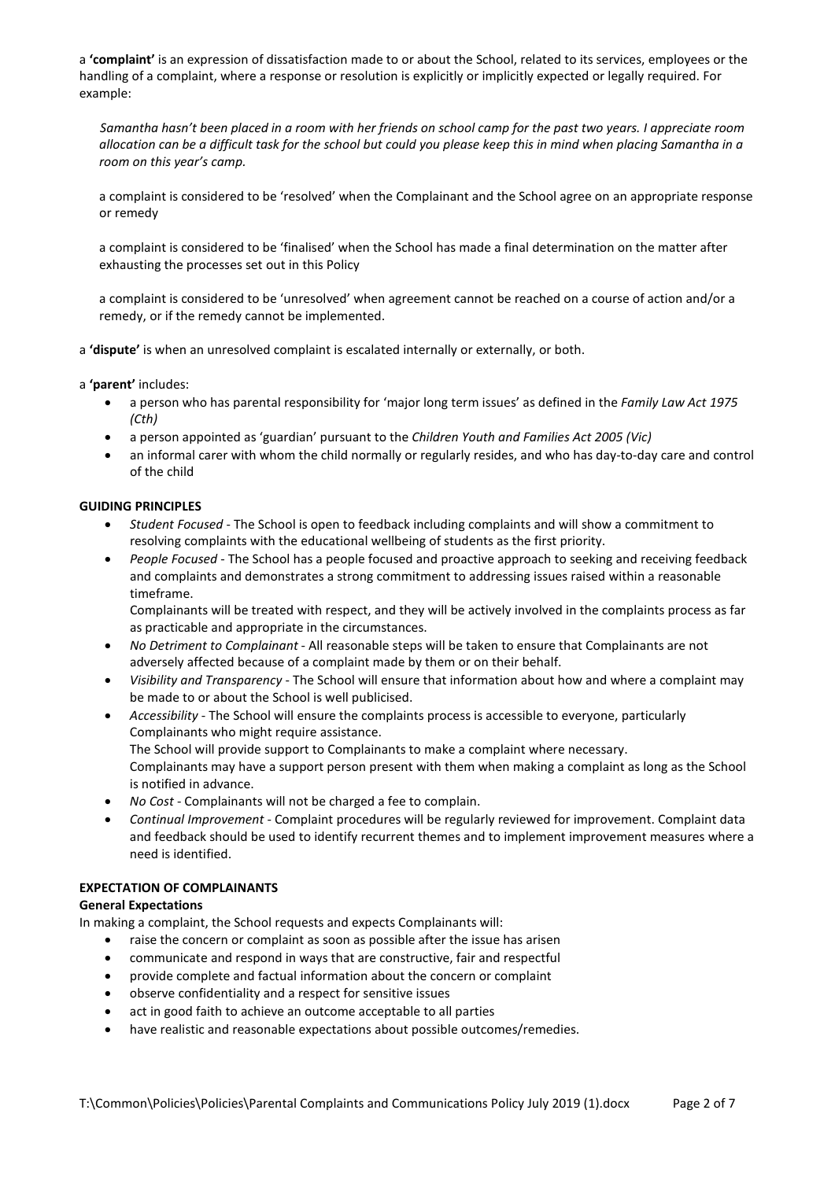a **'complaint'** is an expression of dissatisfaction made to or about the School, related to its services, employees or the handling of a complaint, where a response or resolution is explicitly or implicitly expected or legally required. For example:

*Samantha hasn't been placed in a room with her friends on school camp for the past two years. I appreciate room allocation can be a difficult task for the school but could you please keep this in mind when placing Samantha in a room on this year's camp.* 

a complaint is considered to be 'resolved' when the Complainant and the School agree on an appropriate response or remedy

a complaint is considered to be 'finalised' when the School has made a final determination on the matter after exhausting the processes set out in this Policy

a complaint is considered to be 'unresolved' when agreement cannot be reached on a course of action and/or a remedy, or if the remedy cannot be implemented.

a **'dispute'** is when an unresolved complaint is escalated internally or externally, or both.

a **'parent'** includes:

- a person who has parental responsibility for 'major long term issues' as defined in the *Family Law Act 1975 (Cth)*
- a person appointed as 'guardian' pursuant to the *Children Youth and Families Act 2005 (Vic)*
- an informal carer with whom the child normally or regularly resides, and who has day-to-day care and control of the child

# **GUIDING PRINCIPLES**

- *Student Focused* The School is open to feedback including complaints and will show a commitment to resolving complaints with the educational wellbeing of students as the first priority.
- *People Focused* The School has a people focused and proactive approach to seeking and receiving feedback and complaints and demonstrates a strong commitment to addressing issues raised within a reasonable timeframe.

Complainants will be treated with respect, and they will be actively involved in the complaints process as far as practicable and appropriate in the circumstances.

- *No Detriment to Complainant* All reasonable steps will be taken to ensure that Complainants are not adversely affected because of a complaint made by them or on their behalf.
- *Visibility and Transparency* The School will ensure that information about how and where a complaint may be made to or about the School is well publicised.
- *Accessibility* The School will ensure the complaints process is accessible to everyone, particularly Complainants who might require assistance. The School will provide support to Complainants to make a complaint where necessary. Complainants may have a support person present with them when making a complaint as long as the School is notified in advance.
- *No Cost* Complainants will not be charged a fee to complain.
- *Continual Improvement* Complaint procedures will be regularly reviewed for improvement. Complaint data and feedback should be used to identify recurrent themes and to implement improvement measures where a need is identified.

# **EXPECTATION OF COMPLAINANTS**

# **General Expectations**

In making a complaint, the School requests and expects Complainants will:

- raise the concern or complaint as soon as possible after the issue has arisen
- communicate and respond in ways that are constructive, fair and respectful
- provide complete and factual information about the concern or complaint
- observe confidentiality and a respect for sensitive issues
- act in good faith to achieve an outcome acceptable to all parties
- have realistic and reasonable expectations about possible outcomes/remedies.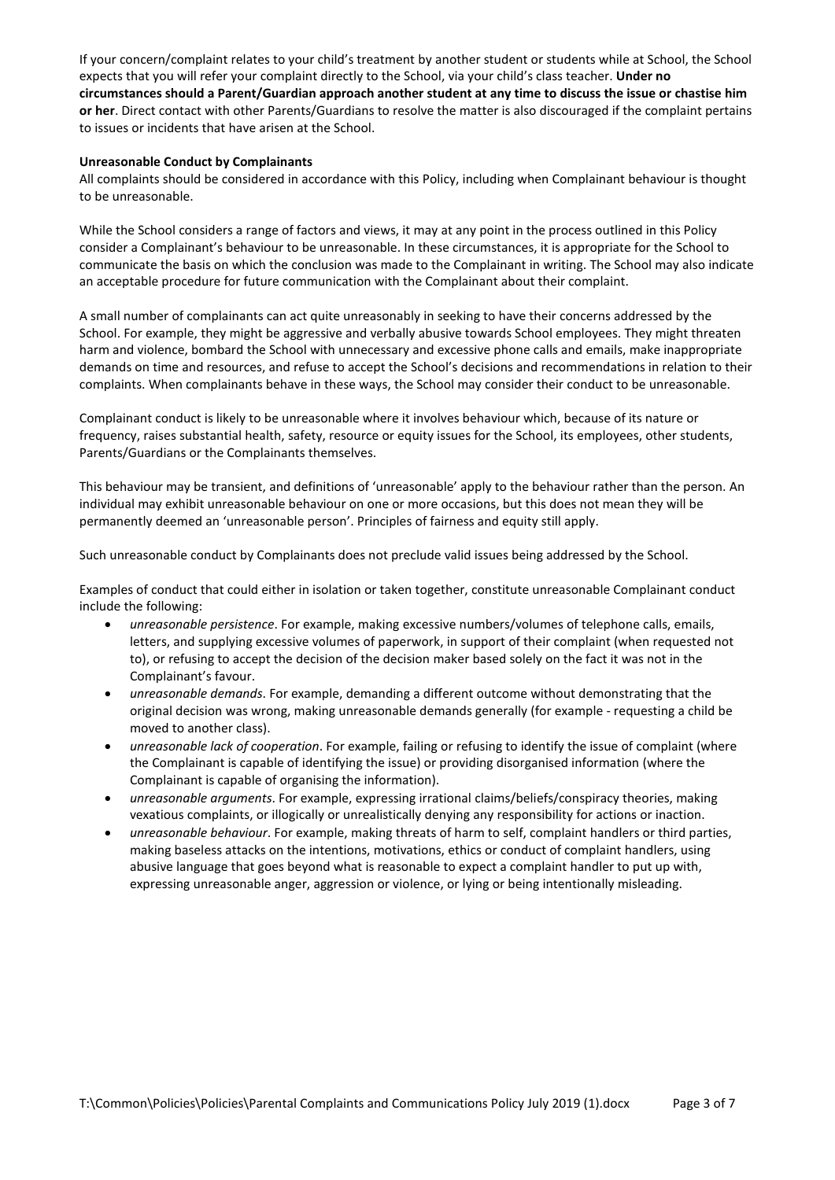If your concern/complaint relates to your child's treatment by another student or students while at School, the School expects that you will refer your complaint directly to the School, via your child's class teacher. **Under no circumstances should a Parent/Guardian approach another student at any time to discuss the issue or chastise him or her**. Direct contact with other Parents/Guardians to resolve the matter is also discouraged if the complaint pertains to issues or incidents that have arisen at the School.

# **Unreasonable Conduct by Complainants**

All complaints should be considered in accordance with this Policy, including when Complainant behaviour is thought to be unreasonable.

While the School considers a range of factors and views, it may at any point in the process outlined in this Policy consider a Complainant's behaviour to be unreasonable. In these circumstances, it is appropriate for the School to communicate the basis on which the conclusion was made to the Complainant in writing. The School may also indicate an acceptable procedure for future communication with the Complainant about their complaint.

A small number of complainants can act quite unreasonably in seeking to have their concerns addressed by the School. For example, they might be aggressive and verbally abusive towards School employees. They might threaten harm and violence, bombard the School with unnecessary and excessive phone calls and emails, make inappropriate demands on time and resources, and refuse to accept the School's decisions and recommendations in relation to their complaints. When complainants behave in these ways, the School may consider their conduct to be unreasonable.

Complainant conduct is likely to be unreasonable where it involves behaviour which, because of its nature or frequency, raises substantial health, safety, resource or equity issues for the School, its employees, other students, Parents/Guardians or the Complainants themselves.

This behaviour may be transient, and definitions of 'unreasonable' apply to the behaviour rather than the person. An individual may exhibit unreasonable behaviour on one or more occasions, but this does not mean they will be permanently deemed an 'unreasonable person'. Principles of fairness and equity still apply.

Such unreasonable conduct by Complainants does not preclude valid issues being addressed by the School.

Examples of conduct that could either in isolation or taken together, constitute unreasonable Complainant conduct include the following:

- *unreasonable persistence*. For example, making excessive numbers/volumes of telephone calls, emails, letters, and supplying excessive volumes of paperwork, in support of their complaint (when requested not to), or refusing to accept the decision of the decision maker based solely on the fact it was not in the Complainant's favour.
- *unreasonable demands*. For example, demanding a different outcome without demonstrating that the original decision was wrong, making unreasonable demands generally (for example - requesting a child be moved to another class).
- *unreasonable lack of cooperation*. For example, failing or refusing to identify the issue of complaint (where the Complainant is capable of identifying the issue) or providing disorganised information (where the Complainant is capable of organising the information).
- *unreasonable arguments*. For example, expressing irrational claims/beliefs/conspiracy theories, making vexatious complaints, or illogically or unrealistically denying any responsibility for actions or inaction.
- *unreasonable behaviour*. For example, making threats of harm to self, complaint handlers or third parties, making baseless attacks on the intentions, motivations, ethics or conduct of complaint handlers, using abusive language that goes beyond what is reasonable to expect a complaint handler to put up with, expressing unreasonable anger, aggression or violence, or lying or being intentionally misleading.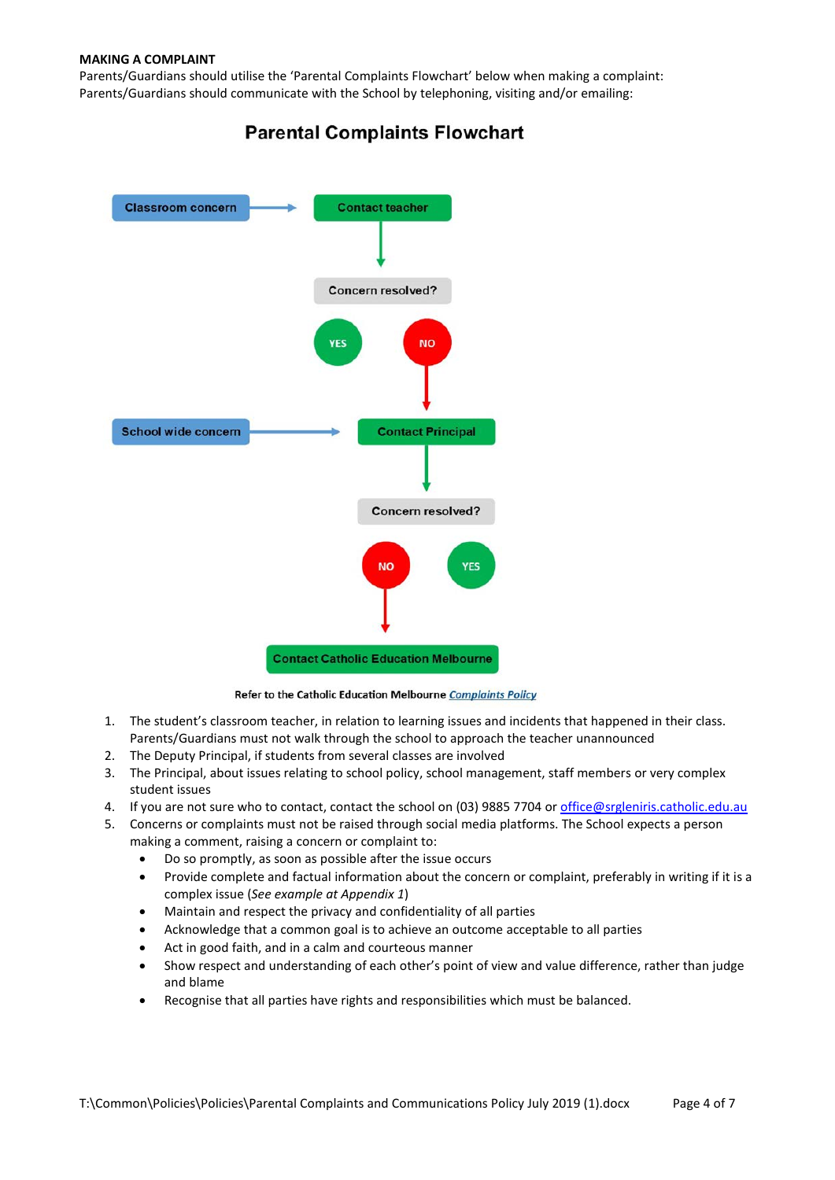Parents/Guardians should utilise the 'Parental Complaints Flowchart' below when making a complaint: Parents/Guardians should communicate with the School by telephoning, visiting and/or emailing:



# **Parental Complaints Flowchart**

Refer to the Catholic Education Melbourne Complaints Policy

- 1. The student's classroom teacher, in relation to learning issues and incidents that happened in their class. Parents/Guardians must not walk through the school to approach the teacher unannounced
- 2. The Deputy Principal, if students from several classes are involved
- 3. The Principal, about issues relating to school policy, school management, staff members or very complex student issues
- 4. If you are not sure who to contact, contact the school on (03) 9885 7704 or [office@srgleniris.catholic.edu.au](mailto:office@srgleniris.catholic.edu.au)
- 5. Concerns or complaints must not be raised through social media platforms. The School expects a person making a comment, raising a concern or complaint to:
	- Do so promptly, as soon as possible after the issue occurs
	- Provide complete and factual information about the concern or complaint, preferably in writing if it is a complex issue (*See example at Appendix 1*)
	- Maintain and respect the privacy and confidentiality of all parties
	- Acknowledge that a common goal is to achieve an outcome acceptable to all parties
	- Act in good faith, and in a calm and courteous manner
	- Show respect and understanding of each other's point of view and value difference, rather than judge and blame
	- Recognise that all parties have rights and responsibilities which must be balanced.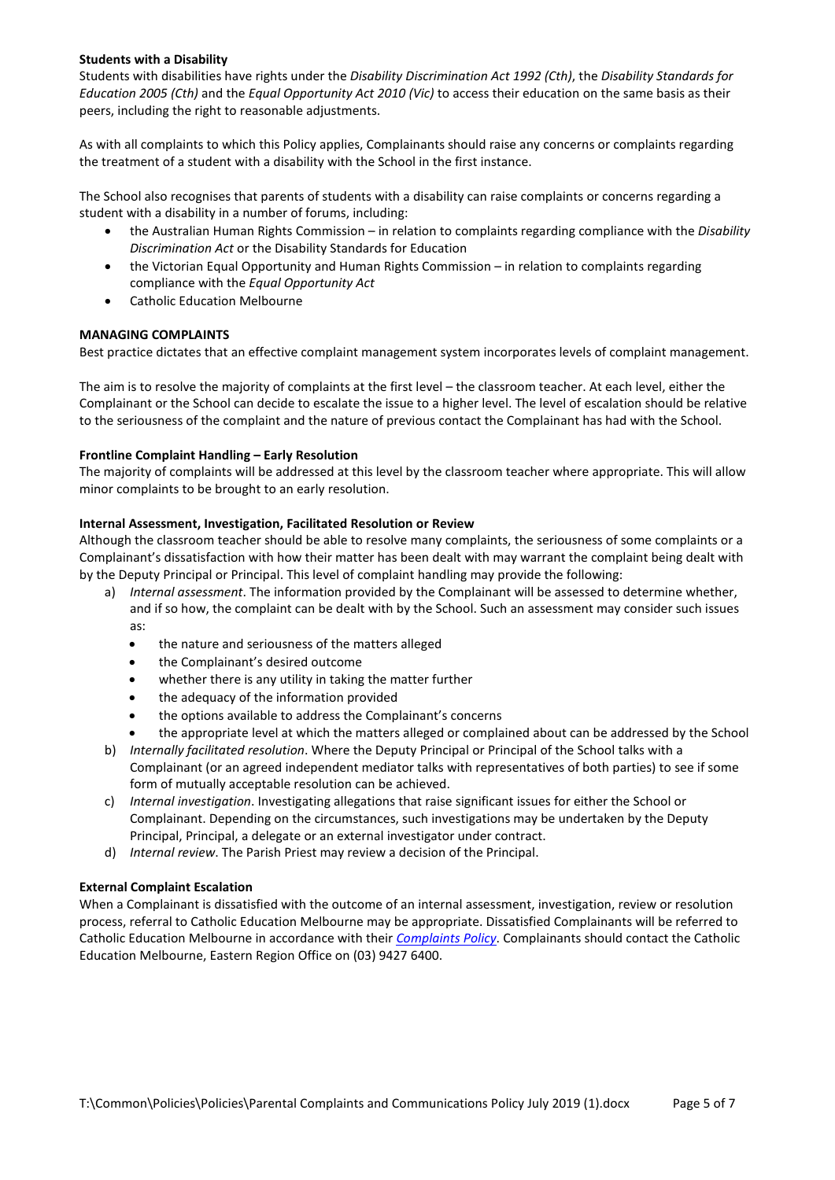### **Students with a Disability**

Students with disabilities have rights under the *Disability Discrimination Act 1992 (Cth)*, the *Disability Standards for Education 2005 (Cth)* and the *Equal Opportunity Act 2010 (Vic)* to access their education on the same basis as their peers, including the right to reasonable adjustments.

As with all complaints to which this Policy applies, Complainants should raise any concerns or complaints regarding the treatment of a student with a disability with the School in the first instance.

The School also recognises that parents of students with a disability can raise complaints or concerns regarding a student with a disability in a number of forums, including:

- the Australian Human Rights Commission in relation to complaints regarding compliance with the *Disability Discrimination Act* or the Disability Standards for Education
- the Victorian Equal Opportunity and Human Rights Commission in relation to complaints regarding compliance with the *Equal Opportunity Act*
- Catholic Education Melbourne

# **MANAGING COMPLAINTS**

Best practice dictates that an effective complaint management system incorporates levels of complaint management.

The aim is to resolve the majority of complaints at the first level – the classroom teacher. At each level, either the Complainant or the School can decide to escalate the issue to a higher level. The level of escalation should be relative to the seriousness of the complaint and the nature of previous contact the Complainant has had with the School.

# **Frontline Complaint Handling – Early Resolution**

The majority of complaints will be addressed at this level by the classroom teacher where appropriate. This will allow minor complaints to be brought to an early resolution.

#### **Internal Assessment, Investigation, Facilitated Resolution or Review**

Although the classroom teacher should be able to resolve many complaints, the seriousness of some complaints or a Complainant's dissatisfaction with how their matter has been dealt with may warrant the complaint being dealt with by the Deputy Principal or Principal. This level of complaint handling may provide the following:

- a) *Internal assessment*. The information provided by the Complainant will be assessed to determine whether, and if so how, the complaint can be dealt with by the School. Such an assessment may consider such issues as:
	- the nature and seriousness of the matters alleged
	- the Complainant's desired outcome
	- whether there is any utility in taking the matter further
	- the adequacy of the information provided
	- the options available to address the Complainant's concerns
	- the appropriate level at which the matters alleged or complained about can be addressed by the School
- b) *Internally facilitated resolution*. Where the Deputy Principal or Principal of the School talks with a Complainant (or an agreed independent mediator talks with representatives of both parties) to see if some form of mutually acceptable resolution can be achieved.
- c) *Internal investigation*. Investigating allegations that raise significant issues for either the School or Complainant. Depending on the circumstances, such investigations may be undertaken by the Deputy Principal, Principal, a delegate or an external investigator under contract.
- d) *Internal review*. The Parish Priest may review a decision of the Principal.

# **External Complaint Escalation**

When a Complainant is dissatisfied with the outcome of an internal assessment, investigation, review or resolution process, referral to Catholic Education Melbourne may be appropriate. Dissatisfied Complainants will be referred to Catholic Education Melbourne in accordance with their *[Complaints Policy](https://www.cem.edu.au/About-Us/Policies/Complaints.aspx)*. Complainants should contact the Catholic Education Melbourne, Eastern Region Office on (03) 9427 6400.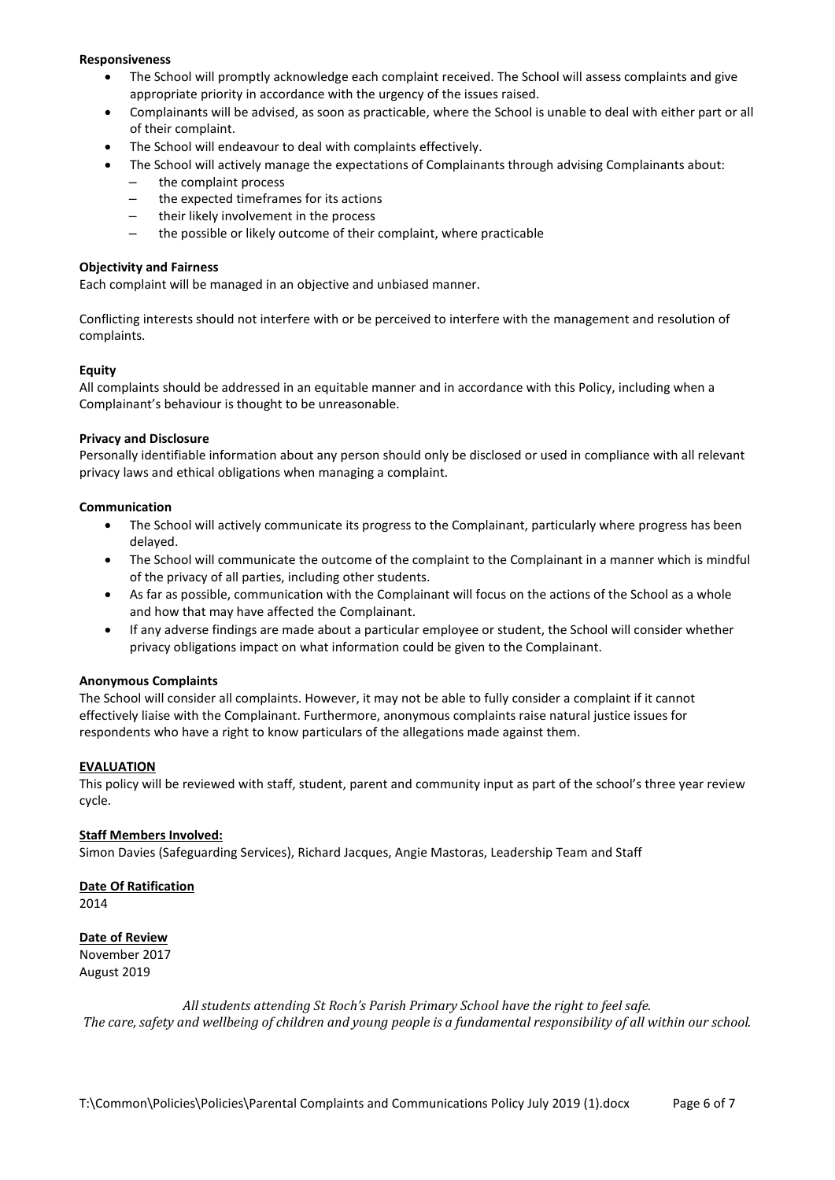#### **Responsiveness**

- The School will promptly acknowledge each complaint received. The School will assess complaints and give appropriate priority in accordance with the urgency of the issues raised.
- Complainants will be advised, as soon as practicable, where the School is unable to deal with either part or all of their complaint.
- The School will endeavour to deal with complaints effectively.
	- The School will actively manage the expectations of Complainants through advising Complainants about: ‒ the complaint process
		- the expected timeframes for its actions
		- ‒ their likely involvement in the process
		- ‒ the possible or likely outcome of their complaint, where practicable

#### **Objectivity and Fairness**

Each complaint will be managed in an objective and unbiased manner.

Conflicting interests should not interfere with or be perceived to interfere with the management and resolution of complaints.

#### **Equity**

All complaints should be addressed in an equitable manner and in accordance with this Policy, including when a Complainant's behaviour is thought to be unreasonable.

#### **Privacy and Disclosure**

Personally identifiable information about any person should only be disclosed or used in compliance with all relevant privacy laws and ethical obligations when managing a complaint.

#### **Communication**

- The School will actively communicate its progress to the Complainant, particularly where progress has been delayed.
- The School will communicate the outcome of the complaint to the Complainant in a manner which is mindful of the privacy of all parties, including other students.
- As far as possible, communication with the Complainant will focus on the actions of the School as a whole and how that may have affected the Complainant.
- If any adverse findings are made about a particular employee or student, the School will consider whether privacy obligations impact on what information could be given to the Complainant.

#### **Anonymous Complaints**

The School will consider all complaints. However, it may not be able to fully consider a complaint if it cannot effectively liaise with the Complainant. Furthermore, anonymous complaints raise natural justice issues for respondents who have a right to know particulars of the allegations made against them.

#### **EVALUATION**

This policy will be reviewed with staff, student, parent and community input as part of the school's three year review cycle.

#### **Staff Members Involved:**

Simon Davies (Safeguarding Services), Richard Jacques, Angie Mastoras, Leadership Team and Staff

**Date Of Ratification** 2014

# **Date of Review**

November 2017 August 2019

*All students attending St Roch's Parish Primary School have the right to feel safe. The care, safety and wellbeing of children and young people is a fundamental responsibility of all within our school.*